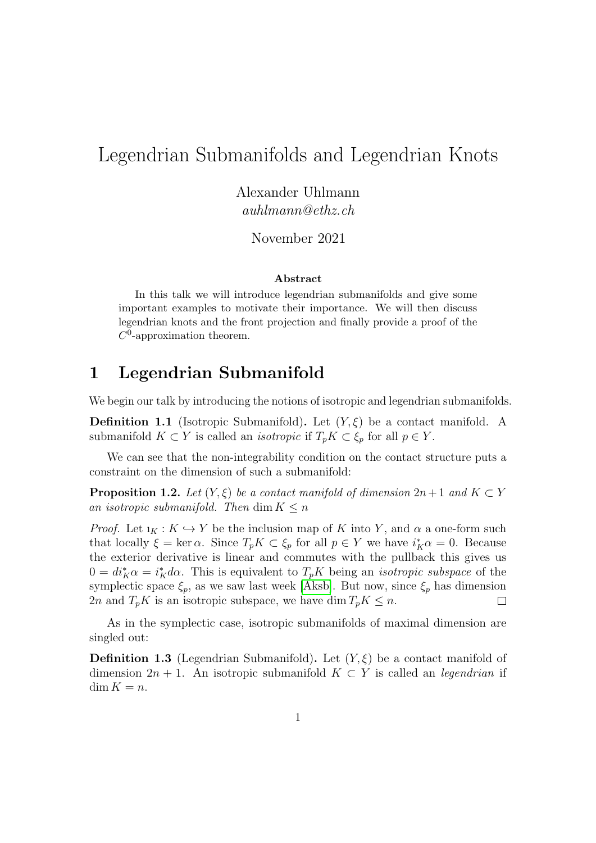# Legendrian Submanifolds and Legendrian Knots

Alexander Uhlmann auhlmann@ethz.ch

November 2021

#### Abstract

In this talk we will introduce legendrian submanifolds and give some important examples to motivate their importance. We will then discuss legendrian knots and the front projection and finally provide a proof of the  $C^0$ -approximation theorem.

## 1 Legendrian Submanifold

We begin our talk by introducing the notions of isotropic and legendrian submanifolds.

**Definition 1.1** (Isotropic Submanifold). Let  $(Y, \xi)$  be a contact manifold. A submanifold  $K \subset Y$  is called an *isotropic* if  $T_pK \subset \xi_p$  for all  $p \in Y$ .

We can see that the non-integrability condition on the contact structure puts a constraint on the dimension of such a submanifold:

**Proposition 1.2.** Let  $(Y, \xi)$  be a contact manifold of dimension  $2n+1$  and  $K \subset Y$ an isotropic submanifold. Then dim  $K \leq n$ 

*Proof.* Let  $i_K : K \hookrightarrow Y$  be the inclusion map of K into Y, and  $\alpha$  a one-form such that locally  $\xi = \ker \alpha$ . Since  $T_p K \subset \xi_p$  for all  $p \in Y$  we have  $i_K^* \alpha = 0$ . Because the exterior derivative is linear and commutes with the pullback this gives us  $0 = di_K^* \alpha = i_K^* d\alpha$ . This is equivalent to  $T_p K$  being an *isotropic subspace* of the symplectic space  $\xi_p$ , as we saw last week [\[Aksb\]](#page-7-0). But now, since  $\xi_p$  has dimension 2n and  $T_pK$  is an isotropic subspace, we have dim  $T_pK \leq n$ .  $\Box$ 

As in the symplectic case, isotropic submanifolds of maximal dimension are singled out:

**Definition 1.3** (Legendrian Submanifold). Let  $(Y, \xi)$  be a contact manifold of dimension  $2n + 1$ . An isotropic submanifold  $K \subset Y$  is called an *legendrian* if  $\dim K = n$ .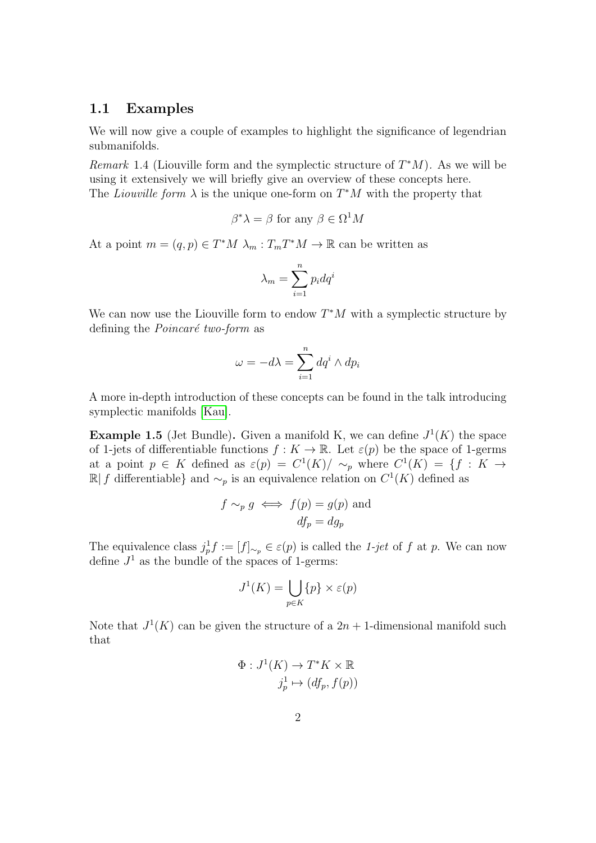#### 1.1 Examples

We will now give a couple of examples to highlight the significance of legendrian submanifolds.

Remark 1.4 (Liouville form and the symplectic structure of  $T^*M$ ). As we will be using it extensively we will briefly give an overview of these concepts here. The *Liouville form*  $\lambda$  is the unique one-form on  $T^*M$  with the property that

$$
\beta^* \lambda = \beta \text{ for any } \beta \in \Omega^1 M
$$

At a point  $m = (q, p) \in T^*M \lambda_m : T_mT^*M \to \mathbb{R}$  can be written as

$$
\lambda_m = \sum_{i=1}^n p_i dq^i
$$

We can now use the Liouville form to endow  $T^*M$  with a symplectic structure by defining the *Poincaré two-form* as

$$
\omega = -d\lambda = \sum_{i=1}^{n} dq^{i} \wedge dp_{i}
$$

A more in-depth introduction of these concepts can be found in the talk introducing symplectic manifolds [\[Kau\]](#page-7-1).

**Example 1.5** (Jet Bundle). Given a manifold K, we can define  $J^1(K)$  the space of 1-jets of differentiable functions  $f: K \to \mathbb{R}$ . Let  $\varepsilon(p)$  be the space of 1-germs at a point  $p \in K$  defined as  $\varepsilon(p) = C^1(K)/\sim_p$  where  $C^1(K) = \{f : K \to$  $\mathbb{R}$  f differentiable} and  $\sim_p$  is an equivalence relation on  $C^1(K)$  defined as

$$
f \sim_p g \iff f(p) = g(p)
$$
 and  
 $df_p = dg_p$ 

The equivalence class  $j_p^1 f := [f]_{\sim_p} \in \varepsilon(p)$  is called the 1-jet of f at p. We can now define  $J^1$  as the bundle of the spaces of 1-germs:

$$
J^1(K) = \bigcup_{p \in K} \{p\} \times \varepsilon(p)
$$

Note that  $J^1(K)$  can be given the structure of a  $2n + 1$ -dimensional manifold such that

$$
\Phi: J^1(K) \to T^*K \times \mathbb{R}
$$

$$
j_p^1 \mapsto (df_p, f(p))
$$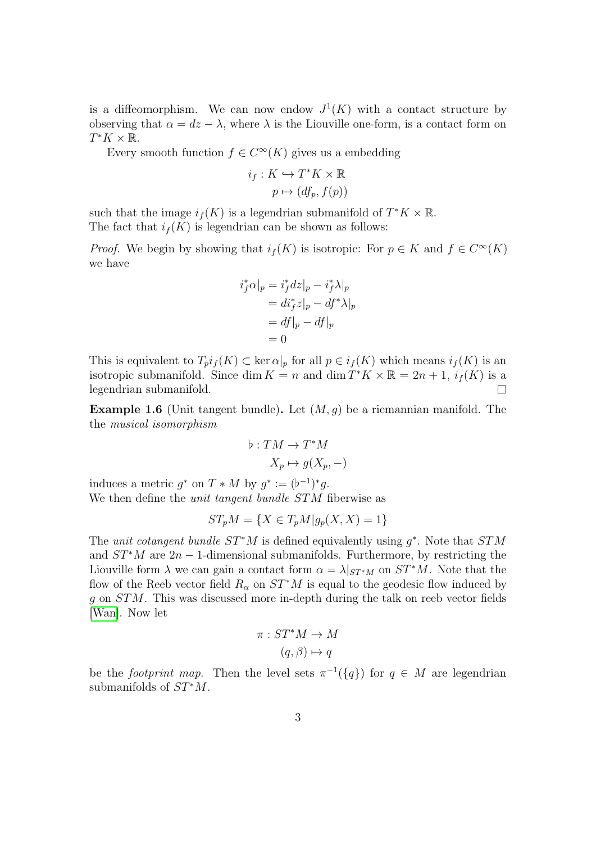is a diffeomorphism. We can now endow  $J^1(K)$  with a contact structure by observing that  $\alpha = dz - \lambda$ , where  $\lambda$  is the Liouville one-form, is a contact form on  $T^*K \times \overline{\mathbb{R}}$ .

Every smooth function  $f \in C^{\infty}(K)$  gives us a embedding

$$
i_f: K \hookrightarrow T^*K \times \mathbb{R}
$$

$$
p \mapsto (df_p, f(p))
$$

such that the image  $i_f(K)$  is a legendrian submanifold of  $T^*K \times \mathbb{R}$ . The fact that  $i_f(K)$  is legendrian can be shown as follows:

*Proof.* We begin by showing that  $i_f(K)$  is isotropic: For  $p \in K$  and  $f \in C^{\infty}(K)$ we have

$$
i_f^* \alpha|_p = i_f^* dz|_p - i_f^* \lambda|_p
$$
  
=  $di_f^* z|_p - df^* \lambda|_p$   
=  $df|_p - df|_p$   
= 0

This is equivalent to  $T_p i_f(K) \subset \text{ker } \alpha|_p$  for all  $p \in i_f(K)$  which means  $i_f(K)$  is an isotropic submanifold. Since dim  $K = n$  and dim  $T^*K \times \mathbb{R} = 2n + 1$ ,  $i_f(K)$  is a legendrian submanifold.  $\Box$ 

**Example 1.6** (Unit tangent bundle). Let  $(M, g)$  be a riemannian manifold. The the musical isomorphism

$$
b: TM \to T^*M
$$

$$
X_p \mapsto g(X_p, -)
$$

induces a metric  $g^*$  on  $T * M$  by  $g^* := (b^{-1})^* g$ . We then define the *unit tangent bundle STM* fiberwise as

$$
ST_pM = \{ X \in T_pM | g_p(X, X) = 1 \}
$$

The unit cotangent bundle  $ST^*M$  is defined equivalently using  $g^*$ . Note that  $STM$ and  $ST^*M$  are  $2n-1$ -dimensional submanifolds. Furthermore, by restricting the Liouville form  $\lambda$  we can gain a contact form  $\alpha = \lambda|_{ST^*M}$  on  $ST^*M$ . Note that the flow of the Reeb vector field  $R_{\alpha}$  on  $ST^*M$  is equal to the geodesic flow induced by g on STM. This was discussed more in-depth during the talk on reeb vector fields [\[Wan\]](#page-7-2). Now let

$$
\pi: ST^*M \to M
$$

$$
(q,\beta) \mapsto q
$$

be the footprint map. Then the level sets  $\pi^{-1}(\{q\})$  for  $q \in M$  are legendrian submanifolds of  $ST^*M$ .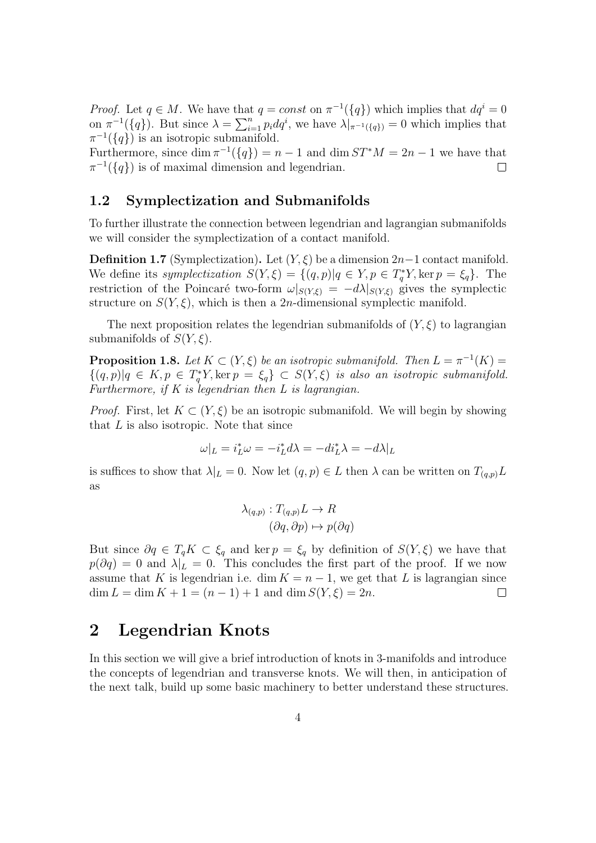*Proof.* Let  $q \in M$ . We have that  $q = const$  on  $\pi^{-1}(\{q\})$  which implies that  $dq^i = 0$ on  $\pi^{-1}(\{q\})$ . But since  $\lambda = \sum_{i=1}^n p_i dq^i$ , we have  $\lambda|_{\pi^{-1}(\{q\})} = 0$  which implies that  $\pi^{-1}(\lbrace q \rbrace)$  is an isotropic submanifold.

Furthermore, since  $\dim \pi^{-1}(\lbrace q \rbrace) = n - 1$  and  $\dim ST^*M = 2n - 1$  we have that  $\pi^{-1}(\lbrace q \rbrace)$  is of maximal dimension and legendrian.  $\Box$ 

### 1.2 Symplectization and Submanifolds

To further illustrate the connection between legendrian and lagrangian submanifolds we will consider the symplectization of a contact manifold.

**Definition 1.7** (Symplectization). Let  $(Y, \xi)$  be a dimension 2n−1 contact manifold. We define its symplectization  $S(Y, \xi) = \{(q, p) | q \in Y, p \in T_q^*Y, \text{ker } p = \xi_q\}.$  The restriction of the Poincaré two-form  $\omega|_{S(Y,\xi)} = -d\lambda|_{S(Y,\xi)}$  gives the symplectic structure on  $S(Y, \xi)$ , which is then a 2*n*-dimensional symplectic manifold.

The next proposition relates the legendrian submanifolds of  $(Y, \xi)$  to lagrangian submanifolds of  $S(Y, \xi)$ .

**Proposition 1.8.** Let  $K \subset (Y, \xi)$  be an isotropic submanifold. Then  $L = \pi^{-1}(K)$  $\{(q,p)|q \in K, p \in T_q^*Y, \text{ker } p = \xi_q\} \subset S(Y,\xi)$  is also an isotropic submanifold. Furthermore, if  $K$  is legendrian then  $L$  is lagrangian.

*Proof.* First, let  $K \subset (Y, \xi)$  be an isotropic submanifold. We will begin by showing that  $L$  is also isotropic. Note that since

$$
\omega|_L=i_L^*\omega=-i_L^*d\lambda=-di_L^*\lambda=-d\lambda|_L
$$

is suffices to show that  $\lambda|_L = 0$ . Now let  $(q, p) \in L$  then  $\lambda$  can be written on  $T_{(q,p)}L$ as

$$
\lambda_{(q,p)} : T_{(q,p)}L \to R
$$

$$
(\partial q, \partial p) \mapsto p(\partial q)
$$

But since  $\partial q \in T_q K \subset \xi_q$  and ker  $p = \xi_q$  by definition of  $S(Y, \xi)$  we have that  $p(\partial q) = 0$  and  $\lambda|_L = 0$ . This concludes the first part of the proof. If we now assume that K is legendrian i.e. dim  $K = n - 1$ , we get that L is lagrangian since  $\dim L = \dim K + 1 = (n - 1) + 1$  and  $\dim S(Y, \xi) = 2n$ .  $\Box$ 

## 2 Legendrian Knots

In this section we will give a brief introduction of knots in 3-manifolds and introduce the concepts of legendrian and transverse knots. We will then, in anticipation of the next talk, build up some basic machinery to better understand these structures.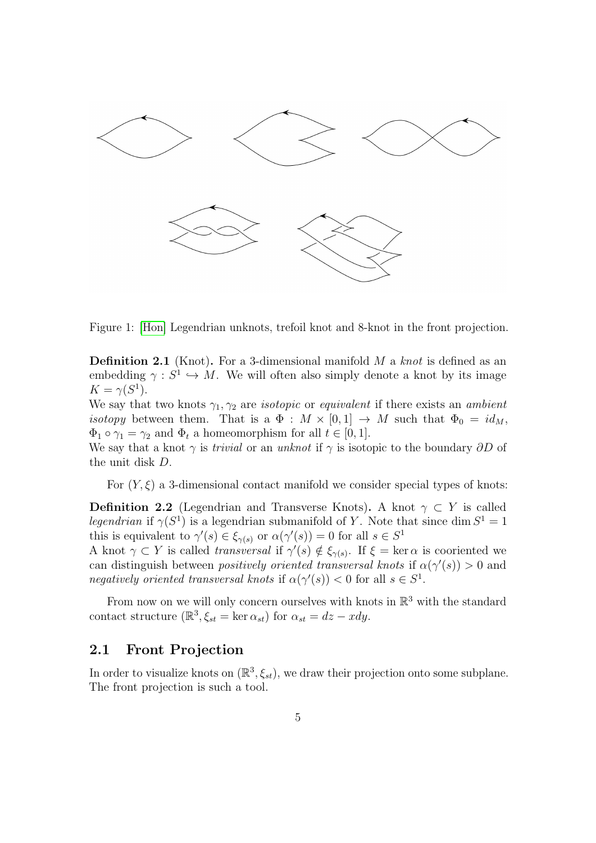

<span id="page-4-0"></span>Figure 1: [\[Hon\]](#page-7-3) Legendrian unknots, trefoil knot and 8-knot in the front projection.

**Definition 2.1** (Knot). For a 3-dimensional manifold  $M$  a knot is defined as an embedding  $\gamma : S^1 \hookrightarrow M$ . We will often also simply denote a knot by its image  $K = \gamma(S^1).$ 

We say that two knots  $\gamma_1, \gamma_2$  are *isotopic* or *equivalent* if there exists an *ambient isotopy* between them. That is a  $\Phi : M \times [0,1] \rightarrow M$  such that  $\Phi_0 = id_M$ ,  $\Phi_1 \circ \gamma_1 = \gamma_2$  and  $\Phi_t$  a homeomorphism for all  $t \in [0, 1]$ .

We say that a knot  $\gamma$  is *trivial* or an *unknot* if  $\gamma$  is isotopic to the boundary  $\partial D$  of the unit disk D.

For  $(Y, \xi)$  a 3-dimensional contact manifold we consider special types of knots:

**Definition 2.2** (Legendrian and Transverse Knots). A knot  $\gamma \subset Y$  is called *legendrian* if  $\gamma(S^1)$  is a legendrian submanifold of Y. Note that since dim  $S^1 = 1$ this is equivalent to  $\gamma'(s) \in \xi_{\gamma(s)}$  or  $\alpha(\gamma'(s)) = 0$  for all  $s \in S^1$ 

A knot  $\gamma \subset Y$  is called *transversal* if  $\gamma'(s) \notin \xi_{\gamma(s)}$ . If  $\xi = \text{ker } \alpha$  is cooriented we can distinguish between *positively oriented transversal knots* if  $\alpha(\gamma'(s)) > 0$  and negatively oriented transversal knots if  $\alpha(\gamma'(s)) < 0$  for all  $s \in S^1$ .

From now on we will only concern ourselves with knots in  $\mathbb{R}^3$  with the standard contact structure  $(\mathbb{R}^3, \xi_{st} = \ker \alpha_{st})$  for  $\alpha_{st} = dz - xdy$ .

#### 2.1 Front Projection

In order to visualize knots on  $(\mathbb{R}^3, \xi_{st})$ , we draw their projection onto some subplane. The front projection is such a tool.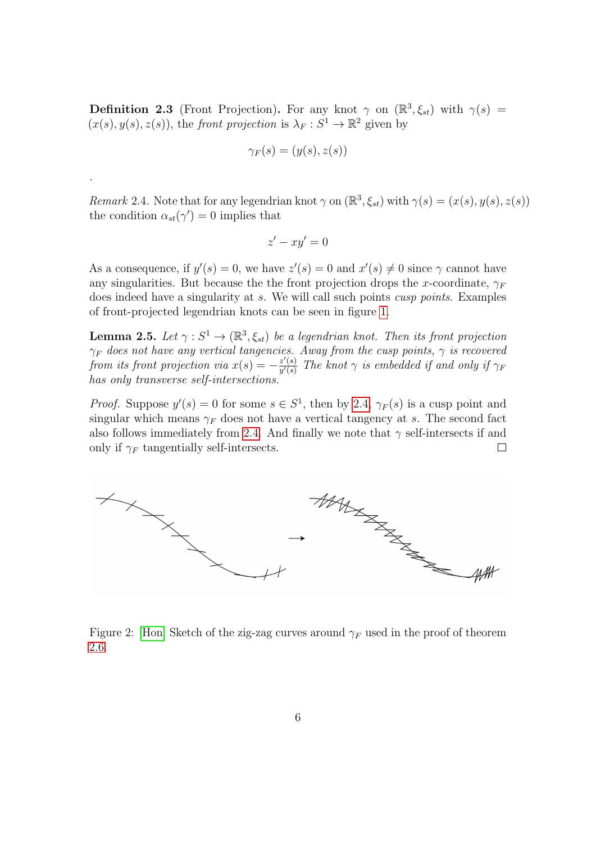**Definition 2.3** (Front Projection). For any knot  $\gamma$  on  $(\mathbb{R}^3, \xi_{st})$  with  $\gamma(s)$  =  $(x(s), y(s), z(s))$ , the front projection is  $\lambda_F : S^1 \to \mathbb{R}^2$  given by

$$
\gamma_F(s)=(y(s),z(s))
$$

.

<span id="page-5-0"></span>Remark 2.4. Note that for any legendrian knot  $\gamma$  on  $(\mathbb{R}^3, \xi_{st})$  with  $\gamma(s) = (x(s), y(s), z(s))$ the condition  $\alpha_{st}(\gamma')=0$  implies that

$$
z'-xy'=0
$$

As a consequence, if  $y'(s) = 0$ , we have  $z'(s) = 0$  and  $x'(s) \neq 0$  since  $\gamma$  cannot have any singularities. But because the the front projection drops the x-coordinate,  $\gamma_F$ does indeed have a singularity at s. We will call such points *cusp points*. Examples of front-projected legendrian knots can be seen in figure [1.](#page-4-0)

<span id="page-5-1"></span>**Lemma 2.5.** Let  $\gamma : S^1 \to (\mathbb{R}^3, \xi_{st})$  be a legendrian knot. Then its front projection  $\gamma_F$  does not have any vertical tangencies. Away from the cusp points,  $\gamma$  is recovered from its front projection via  $x(s) = -\frac{z'(s)}{y'(s)}$  $\frac{z(s)}{y'(s)}$  The knot  $\gamma$  is embedded if and only if  $\gamma_F$ has only transverse self-intersections.

*Proof.* Suppose  $y'(s) = 0$  for some  $s \in S^1$ , then by [2.4,](#page-5-0)  $\gamma_F(s)$  is a cusp point and singular which means  $\gamma_F$  does not have a vertical tangency at s. The second fact also follows immediately from [2](#page-5-0).4. And finally we note that  $\gamma$  self-intersects if and only if  $\gamma_F$  tangentially self-intersects.  $\Box$ 



<span id="page-5-2"></span>Figure 2: [\[Hon\]](#page-7-3) Sketch of the zig-zag curves around  $\gamma_F$  used in the proof of theorem [2.6.](#page-6-0)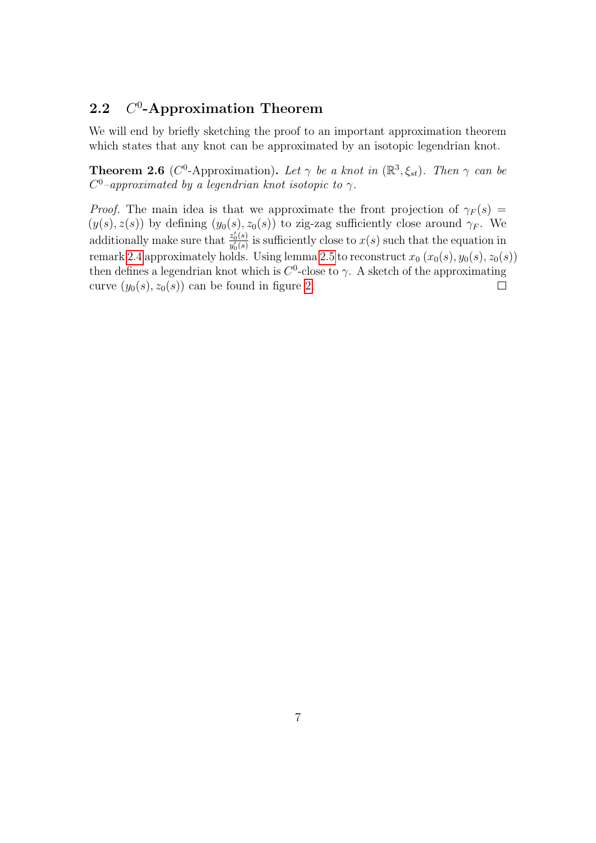#### **2.2**  $0$ -Approximation Theorem

We will end by briefly sketching the proof to an important approximation theorem which states that any knot can be approximated by an isotopic legendrian knot.

<span id="page-6-0"></span>**Theorem 2.6** ( $C^0$ -Approximation). Let  $\gamma$  be a knot in  $(\mathbb{R}^3, \xi_{st})$ . Then  $\gamma$  can be  $C^0$ -approximated by a legendrian knot isotopic to  $\gamma$ .

*Proof.* The main idea is that we approximate the front projection of  $\gamma_F(s)$  =  $(y(s), z(s))$  by defining  $(y_0(s), z_0(s))$  to zig-zag sufficiently close around  $\gamma_F$ . We additionally make sure that  $\frac{z'_0(s)}{y'(s)}$  $\frac{z_0(s)}{y_0'(s)}$  is sufficiently close to  $x(s)$  such that the equation in remark [2.4](#page-5-0) approximately holds. Using lemma [2.5](#page-5-1) to reconstruct  $x_0$   $(x_0(s), y_0(s), z_0(s))$ then defines a legendrian knot which is  $C^0$ -close to  $\gamma$ . A sketch of the approximating curve  $(y_0(s), z_0(s))$  can be found in figure [2.](#page-5-2)  $\Box$